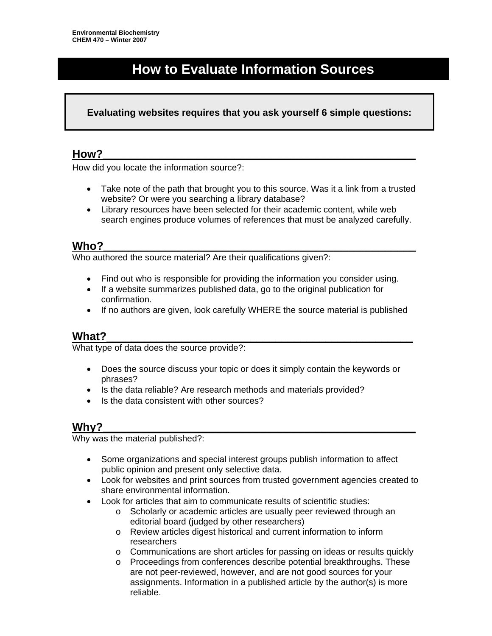# **How to Evaluate Information Sources**

#### **Evaluating websites requires that you ask yourself 6 simple questions:**

#### **How?\_\_\_\_\_\_\_\_\_\_\_\_\_\_\_\_\_\_\_\_\_\_\_\_\_\_\_\_\_\_\_\_\_\_\_\_\_\_\_\_\_\_\_\_\_\_\_\_\_\_**

How did you locate the information source?:

- Take note of the path that brought you to this source. Was it a link from a trusted website? Or were you searching a library database?
- Library resources have been selected for their academic content, while web search engines produce volumes of references that must be analyzed carefully.

## **Who?\_\_\_\_\_\_\_\_\_\_\_\_\_\_\_\_\_\_\_\_\_\_\_\_\_\_\_\_\_\_\_\_\_\_\_\_\_\_\_\_\_\_\_\_\_\_\_\_\_\_**

Who authored the source material? Are their qualifications given?:

- Find out who is responsible for providing the information you consider using.
- If a website summarizes published data, go to the original publication for confirmation.
- If no authors are given, look carefully WHERE the source material is published

#### **What?\_\_\_\_\_\_\_\_\_\_\_\_\_\_\_\_\_\_\_\_\_\_\_\_\_\_\_\_\_\_\_\_\_\_\_\_\_\_\_\_\_\_\_\_\_\_\_\_\_**

What type of data does the source provide?:

- Does the source discuss your topic or does it simply contain the keywords or phrases?
- Is the data reliable? Are research methods and materials provided?
- Is the data consistent with other sources?

## **Why?\_\_\_\_\_\_\_\_\_\_\_\_\_\_\_\_\_\_\_\_\_\_\_\_\_\_\_\_\_\_\_\_\_\_\_\_\_\_\_\_\_\_\_\_\_\_\_\_\_\_**

Why was the material published?:

- Some organizations and special interest groups publish information to affect public opinion and present only selective data.
- Look for websites and print sources from trusted government agencies created to share environmental information.
- Look for articles that aim to communicate results of scientific studies:
	- o Scholarly or academic articles are usually peer reviewed through an editorial board (judged by other researchers)
	- o Review articles digest historical and current information to inform researchers
	- o Communications are short articles for passing on ideas or results quickly
	- o Proceedings from conferences describe potential breakthroughs. These are not peer-reviewed, however, and are not good sources for your assignments. Information in a published article by the author(s) is more reliable.